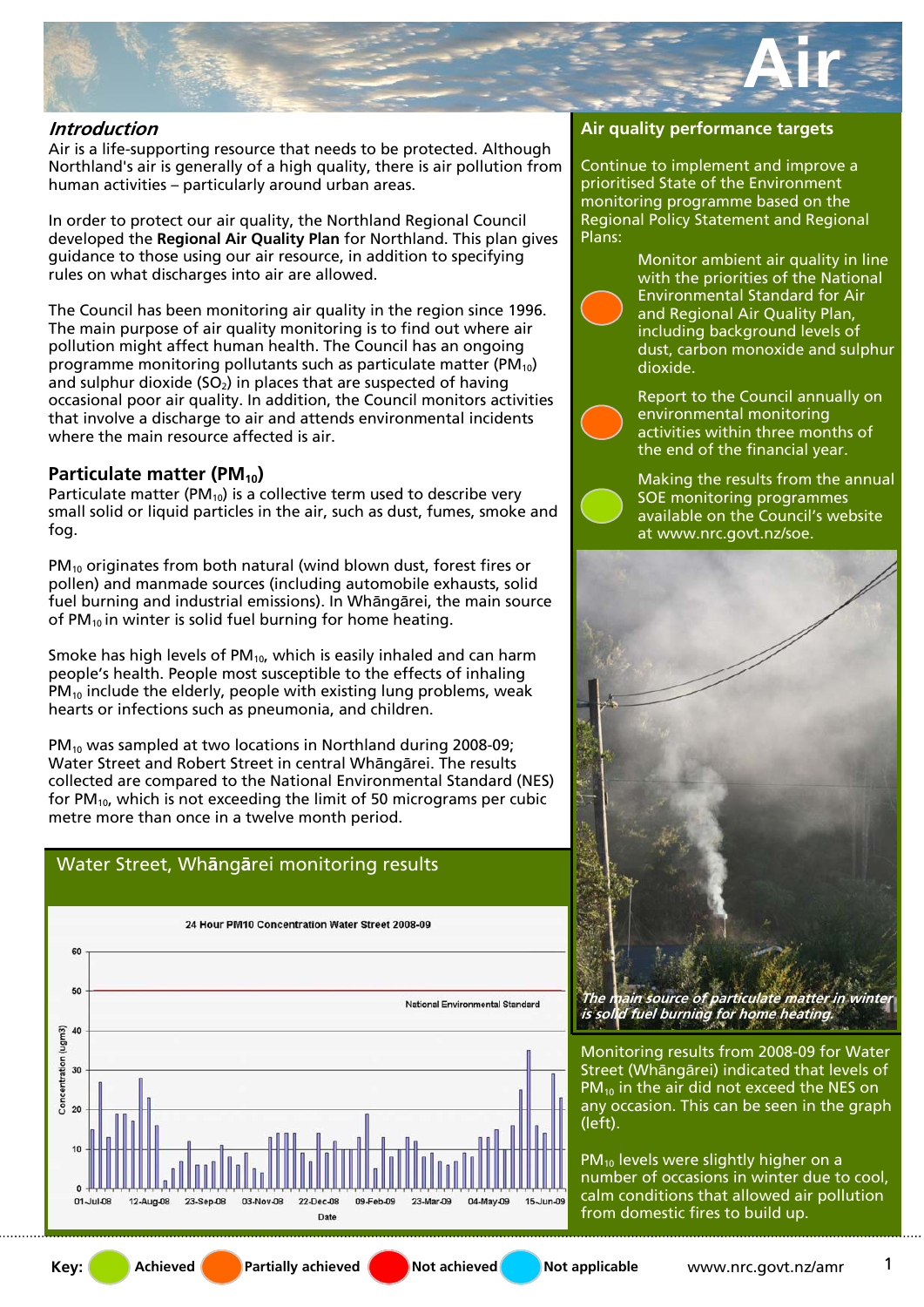

#### **Introduction**

Air is a life-supporting resource that needs to be protected. Although Northland's air is generally of a high quality, there is air pollution from human activities – particularly around urban areas.

In order to protect our air quality, the Northland Regional Council developed the **Regional Air Quality Plan** for Northland. This plan gives guidance to those using our air resource, in addition to specifying rules on what discharges into air are allowed.

The Council has been monitoring air quality in the region since 1996. The main purpose of air quality monitoring is to find out where air pollution might affect human health. The Council has an ongoing programme monitoring pollutants such as particulate matter ( $PM_{10}$ ) and sulphur dioxide ( $SO<sub>2</sub>$ ) in places that are suspected of having occasional poor air quality. In addition, the Council monitors activities that involve a discharge to air and attends environmental incidents where the main resource affected is air.

# **Particulate matter (PM<sub>10</sub>)**

Particulate matter (PM $_{10}$ ) is a collective term used to describe very small solid or liquid particles in the air, such as dust, fumes, smoke and fog.

PM<sub>10</sub> originates from both natural (wind blown dust, forest fires or pollen) and manmade sources (including automobile exhausts, solid fuel burning and industrial emissions). In Whāngārei, the main source of PM $_{10}$  in winter is solid fuel burning for home heating.

Smoke has high levels of  $PM_{10}$ , which is easily inhaled and can harm people's health. People most susceptible to the effects of inhaling  $PM_{10}$  include the elderly, people with existing lung problems, weak hearts or infections such as pneumonia, and children.

PM<sub>10</sub> was sampled at two locations in Northland during 2008-09; Water Street and Robert Street in central Whāngārei. The results collected are compared to the National Environmental Standard (NES) for PM<sub>10</sub>, which is not exceeding the limit of 50 micrograms per cubic metre more than once in a twelve month period.

# Water Street, Wh**ā**ng**ā**rei monitoring results



#### **Air quality performance targets**

Continue to implement and improve a prioritised State of the Environment monitoring programme based on the Regional Policy Statement and Regional Plans:

> Monitor ambient air quality in line with the priorities of the National Environmental Standard for Air and Regional Air Quality Plan, including background levels of dust, carbon monoxide and sulphur dioxide.

Report to the Council annually on environmental monitoring activities within three months of the end of the financial year.

Making the results from the annual SOE monitoring programmes available on the Council's website at www.nrc.govt.nz/soe.



**The main source of particulate matter in winter is solid fuel burning for home heating.** 

Monitoring results from 2008-09 for Water Street (Whāngārei) indicated that levels of  $PM_{10}$  in the air did not exceed the NES on any occasion. This can be seen in the graph (left).

 $PM_{10}$  levels were slightly higher on a number of occasions in winter due to cool, calm conditions that allowed air pollution from domestic fires to build up.